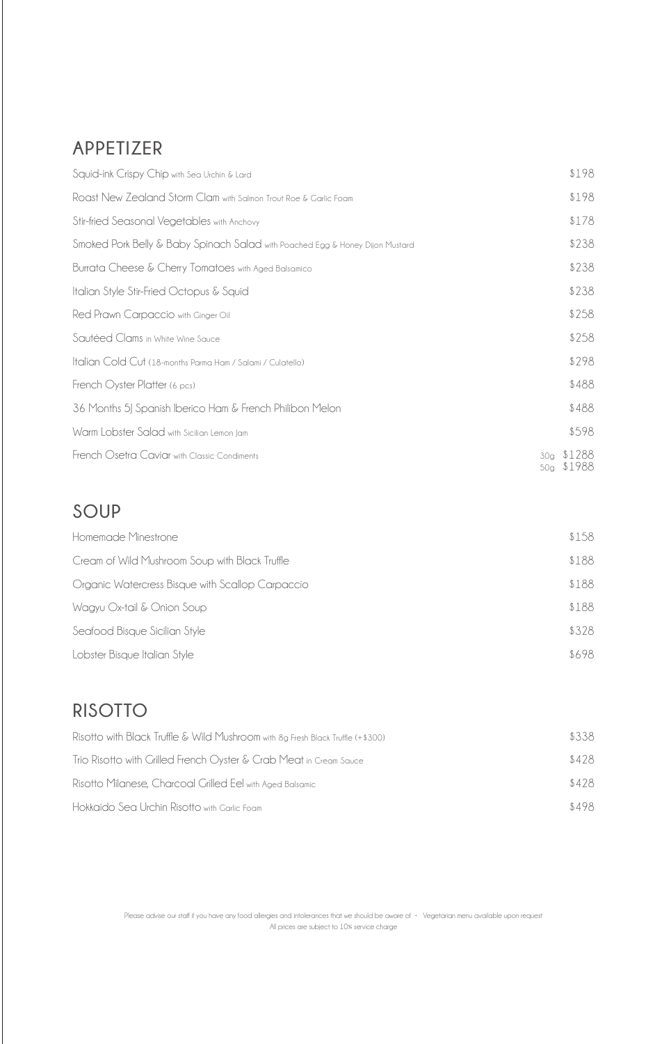## **APPETIZER**

| Squid-ink Crispy Chip with Sea Urchin & Lard                                  | \$198                                                  |
|-------------------------------------------------------------------------------|--------------------------------------------------------|
| Roast New Zealand Storm Clam with Salmon Trout Roe & Garlic Foam              | \$198                                                  |
| Stir-fried Seasonal Vegetables with Anchovy                                   | \$178                                                  |
| Smoked Pork Belly & Baby Spinach Salad with Poached Egg & Honey Dijon Mustard | \$238                                                  |
| Burrata Cheese & Cherry Tomatoes with Aged Balsamico                          | \$238                                                  |
| Italian Style Stir-Fried Octopus & Squid                                      | \$238                                                  |
| Red Prawn Carpaccio with Ginger Oil                                           | \$258                                                  |
| Sautéed Clams in White Wine Sauce                                             | \$258                                                  |
| Italian Cold Cut (18-months Parma Ham / Salami / Culatello)                   | \$298                                                  |
| French Oyster Platter (6 pcs)                                                 | \$488                                                  |
| 36 Months 5J Spanish Iberico Ham & French Philibon Melon                      | \$488                                                  |
| Warm Lobster Salad with Sicilian Lemon Jam                                    | \$598                                                  |
| French Osetra Caviar with Classic Condiments                                  | \$1288<br>30 <sub>a</sub><br>\$1988<br>50 <sub>q</sub> |

#### **SOUP**

| Homemade Minestrone                              | \$158 |
|--------------------------------------------------|-------|
| Cream of Wild Mushroom Soup with Black Truffle   | \$188 |
| Organic Watercress Bisque with Scallop Carpaccio | \$188 |
| Wagyu Ox-tail & Onion Soup                       | \$188 |
| Seafood Bisque Sicilian Style                    | \$328 |
| Lobster Bisque Italian Style                     | \$698 |

## **RISOTTO**

| Risotto with Black Truffle & Wild Mushroom with 8g Fresh Black Truffle (+\$300) | \$338 |
|---------------------------------------------------------------------------------|-------|
| Trio Risotto with Grilled French Oyster & Crab Meat in Cream Sauce              | \$428 |
| Risotto Milanese, Charcoal Grilled Eel with Aged Balsamic                       | \$428 |
| Hokkaido Sea Urchin Risotto with Garlic Foam                                    | \$498 |

Please advise our staff if you have any food allergies and intolerances that we should be aware of • Vegetarian menu available upon request All prices are subject to 10% service charge